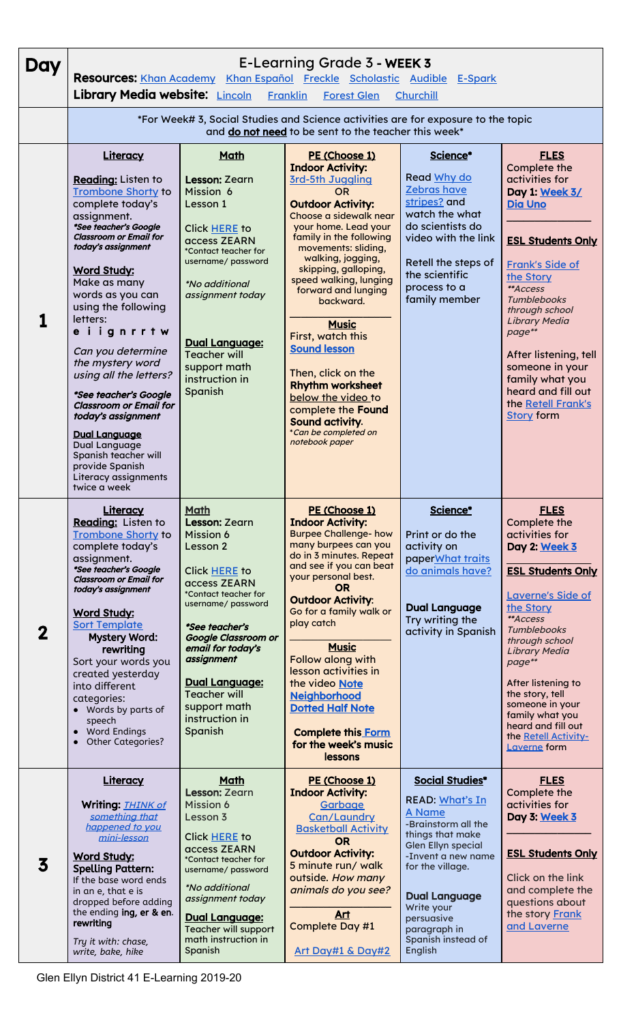| Day                     | E-Learning Grade 3 - WEEK 3<br>Resources: Khan Academy Khan Español Freckle Scholastic Audible E-Spark<br>Library Media website: <b>Lincoln</b><br><b>Franklin</b><br><b>Forest Glen</b><br>Churchill                                                                                                                                                                                                                                                                                                                                                                   |                                                                                                                                                                                                                                                                                                                                    |                                                                                                                                                                                                                                                                                                                                                                                                                                                                                                                                                   |                                                                                                                                                                                                                                                                                   |                                                                                                                                                                                                                                                                                                                                                                               |  |  |  |  |
|-------------------------|-------------------------------------------------------------------------------------------------------------------------------------------------------------------------------------------------------------------------------------------------------------------------------------------------------------------------------------------------------------------------------------------------------------------------------------------------------------------------------------------------------------------------------------------------------------------------|------------------------------------------------------------------------------------------------------------------------------------------------------------------------------------------------------------------------------------------------------------------------------------------------------------------------------------|---------------------------------------------------------------------------------------------------------------------------------------------------------------------------------------------------------------------------------------------------------------------------------------------------------------------------------------------------------------------------------------------------------------------------------------------------------------------------------------------------------------------------------------------------|-----------------------------------------------------------------------------------------------------------------------------------------------------------------------------------------------------------------------------------------------------------------------------------|-------------------------------------------------------------------------------------------------------------------------------------------------------------------------------------------------------------------------------------------------------------------------------------------------------------------------------------------------------------------------------|--|--|--|--|
|                         | *For Week# 3, Social Studies and Science activities are for exposure to the topic<br>and do not need to be sent to the teacher this week*                                                                                                                                                                                                                                                                                                                                                                                                                               |                                                                                                                                                                                                                                                                                                                                    |                                                                                                                                                                                                                                                                                                                                                                                                                                                                                                                                                   |                                                                                                                                                                                                                                                                                   |                                                                                                                                                                                                                                                                                                                                                                               |  |  |  |  |
|                         | Literacy<br>Reading: Listen to<br><b>Trombone Shorty to</b><br>complete today's<br>assignment.<br>*See teacher's Google<br><b>Classroom or Email for</b><br>today's assignment<br><b>Word Study:</b><br>Make as many<br>words as you can<br>using the following<br>letters:<br>eiignrrtw<br>Can you determine<br>the mystery word<br>using all the letters?<br>*See teacher's Google<br><b>Classroom or Email for</b><br>today's assignment<br><b>Dual Language</b><br>Dual Language<br>Spanish teacher will<br>provide Spanish<br>Literacy assignments<br>twice a week | Math<br>Lesson: Zearn<br>Mission 6<br>Lesson 1<br>Click HERE to<br>access ZEARN<br>*Contact teacher for<br>username/ password<br><i>*No additional</i><br>assignment today<br><b>Dual Language:</b><br><b>Teacher will</b><br>support math<br>instruction in<br>Spanish                                                            | PE (Choose 1)<br><b>Indoor Activity:</b><br><b>3rd-5th Juggling</b><br><b>OR</b><br><b>Outdoor Activity:</b><br>Choose a sidewalk near<br>your home. Lead your<br>family in the following<br>movements: sliding,<br>walking, jogging,<br>skipping, galloping,<br>speed walking, lunging<br>forward and lunging<br>backward.<br><b>Music</b><br>First, watch this<br><b>Sound lesson</b><br>Then, click on the<br><b>Rhythm worksheet</b><br>below the video to<br>complete the Found<br>Sound activity.<br>*Can be completed on<br>notebook paper | Science*<br>Read Why do<br>Zebras have<br>stripes? and<br>watch the what<br>do scientists do<br>video with the link<br>Retell the steps of<br>the scientific<br>process to a<br>family member                                                                                     | <b>FLES</b><br>Complete the<br>activities for<br>Day 1: Week 3/<br><b>Dia Uno</b><br><b>ESL Students Only</b><br><b>Frank's Side of</b><br>the Story<br>**Access<br><b>Tumblebooks</b><br>through school<br><b>Library Media</b><br>page**<br>After listening, tell<br>someone in your<br>family what you<br>heard and fill out<br>the Retell Frank's<br><b>Story</b> form    |  |  |  |  |
| $\mathbf 2$             | Literacy<br>Reading: Listen to<br><b>Trombone Shorty to</b><br>complete today's<br>assignment.<br>*See teacher's Google<br><b>Classroom or Email for</b><br>today's assignment<br><b>Word Study:</b><br><b>Sort Template</b><br><b>Mystery Word:</b><br>rewriting<br>Sort your words you<br>created yesterday<br>into different<br>categories:<br>• Words by parts of<br>speech<br>• Word Endings<br>Other Categories?<br>$\bullet$                                                                                                                                     | <b>Math</b><br>Lesson: Zearn<br><b>Mission 6</b><br>Lesson 2<br><b>Click HERE to</b><br>access ZEARN<br>*Contact teacher for<br>username/ password<br>*See teacher's<br><b>Google Classroom or</b><br>email for today's<br>assignment<br><b>Dual Language:</b><br><b>Teacher will</b><br>support math<br>instruction in<br>Spanish | PE (Choose 1)<br><b>Indoor Activity:</b><br><b>Burpee Challenge- how</b><br>many burpees can you<br>do in 3 minutes. Repeat<br>and see if you can beat<br>your personal best.<br><b>OR</b><br><b>Outdoor Activity:</b><br>Go for a family walk or<br>play catch<br><b>Music</b><br>Follow along with<br>lesson activities in<br>the video Note<br><b>Neighborhood</b><br><b>Dotted Half Note</b><br><b>Complete this Form</b><br>for the week's music<br>lessons                                                                                  | Science*<br>Print or do the<br>activity on<br>paper <b>What traits</b><br>do animals have?<br><b>Dual Language</b><br>Try writing the<br>activity in Spanish                                                                                                                      | <b>FLES</b><br>Complete the<br>activities for<br>Day 2: Week 3<br><b>ESL Students Only</b><br><b>Laverne's Side of</b><br>the Story<br>**Access<br><b>Tumblebooks</b><br>through school<br><b>Library Media</b><br>page**<br>After listening to<br>the story, tell<br>someone in your<br>family what you<br>heard and fill out<br>the Retell Activity-<br><b>Laverne</b> form |  |  |  |  |
| $\overline{\mathbf{3}}$ | Literacy<br>Writing: <b>THINK of</b><br>something that<br>happened to you<br>mini-lesson<br><b>Word Study:</b><br><b>Spelling Pattern:</b><br>If the base word ends<br>in an e, that e is<br>dropped before adding<br>the ending ing, er & en.<br>rewriting<br>Try it with: chase,<br>write, bake, hike                                                                                                                                                                                                                                                                 | <b>Math</b><br><b>Lesson: Zearn</b><br><b>Mission 6</b><br>Lesson 3<br>Click HERE to<br>access ZEARN<br>*Contact teacher for<br>username/ password<br><i>*No additional</i><br>assignment today<br>Dual Language:<br>Teacher will support<br>math instruction in<br>Spanish                                                        | PE (Choose 1)<br><b>Indoor Activity:</b><br>Garbage<br>Can/Laundry<br><b>Basketball Activity</b><br><b>OR</b><br><b>Outdoor Activity:</b><br>5 minute run/ walk<br>outside. How many<br>animals do you see?<br>Art<br>Complete Day #1<br>Art Day#1 & Day#2                                                                                                                                                                                                                                                                                        | <b>Social Studies*</b><br>READ: What's In<br><b>A Name</b><br>-Brainstorm all the<br>things that make<br><b>Glen Ellyn special</b><br>-Invent a new name<br>for the village.<br><b>Dual Language</b><br>Write your<br>persuasive<br>paragraph in<br>Spanish instead of<br>English | <b>FLES</b><br>Complete the<br>activities for<br>Day 3: Week 3<br><b>ESL Students Only</b><br>Click on the link<br>and complete the<br>questions about<br>the story Frank<br>and Laverne                                                                                                                                                                                      |  |  |  |  |

Glen Ellyn District 41 E-Learning 2019-20